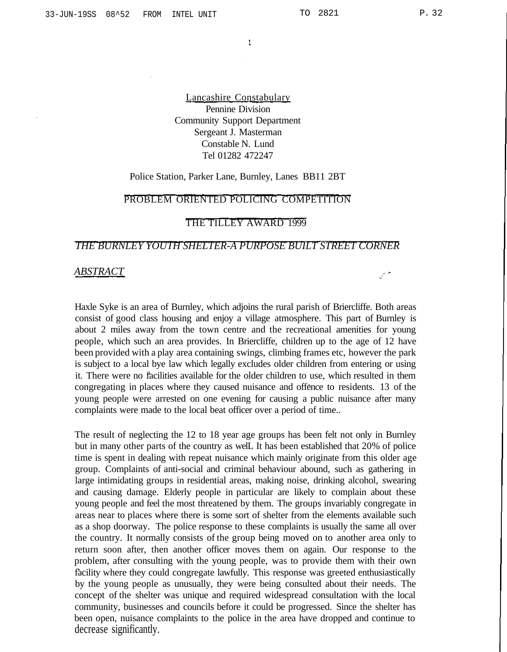$\mathbb{Z}^{\frac{1}{2}}$ 

 $\mathbf{1}$ 

Lancashire Constabulary Pennine Division Community Support Department Sergeant J. Masterman Constable N. Lund Tel 01282 472247

### Police Station, Parker Lane, Burnley, Lanes BB11 2BT

## PROBLEM ORIENTED POLICING COMPETITION

### THE TILLEY AWARD 1999

### *THE BURNLEY YOUTH SHELTER-A PURPOSE BUILT STREET CORNER*

### *ABSTRACT*

Haxle Syke is an area of Burnley, which adjoins the rural parish of Briercliffe. Both areas consist of good class housing and enjoy a village atmosphere. This part of Burnley is about 2 miles away from the town centre and the recreational amenities for young people, which such an area provides. In Briercliffe, children up to the age of 12 have been provided with a play area containing swings, climbing frames etc, however the park is subject to a local bye law which legally excludes older children from entering or using it. There were no facilities available for the older children to use, which resulted in them congregating in places where they caused nuisance and offence to residents. 13 of the young people were arrested on one evening for causing a public nuisance after many complaints were made to the local beat officer over a period of time..

The result of neglecting the 12 to 18 year age groups has been felt not only in Burnley but in many other parts of the country as welL It has been established that 20% of police time is spent in dealing with repeat nuisance which mainly originate from this older age group. Complaints of anti-social and criminal behaviour abound, such as gathering in large intimidating groups in residential areas, making noise, drinking alcohol, swearing and causing damage. Elderly people in particular are likely to complain about these young people and feel the most threatened by them. The groups invariably congregate in areas near to places where there is some sort of shelter from the elements available such as a shop doorway. The police response to these complaints is usually the same all over the country. It normally consists of the group being moved on to another area only to return soon after, then another officer moves them on again. Our response to the problem, after consulting with the young people, was to provide them with their own facility where they could congregate lawfully. This response was greeted enthusiastically by the young people as unusually, they were being consulted about their needs. The concept of the shelter was unique and required widespread consultation with the local community, businesses and councils before it could be progressed. Since the shelter has been open, nuisance complaints to the police in the area have dropped and continue to decrease significantly.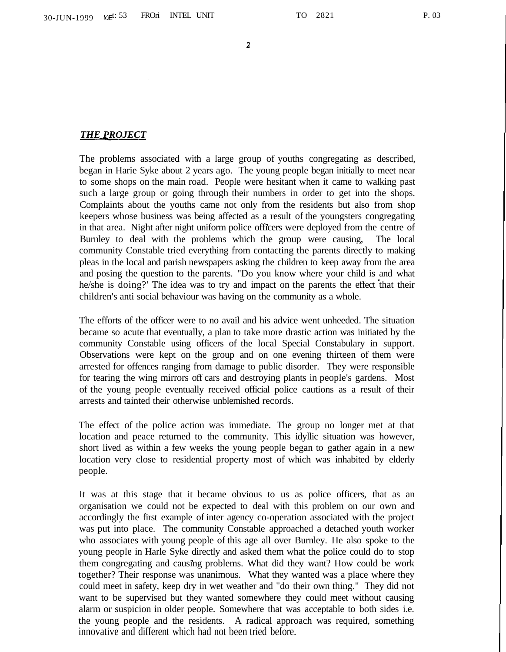$\overline{2}$ 

#### *THE PROJECT*

The problems associated with a large group of youths congregating as described, began in Harie Syke about 2 years ago. The young people began initially to meet near to some shops on the main road. People were hesitant when it came to walking past such a large group or going through their numbers in order to get into the shops. Complaints about the youths came not only from the residents but also from shop keepers whose business was being affected as a result of the youngsters congregating in that area. Night after night uniform police officers were deployed from the centre of Burnley to deal with the problems which the group were causing, The local community Constable tried everything from contacting the parents directly to making pleas in the local and parish newspapers asking the children to keep away from the area and posing the question to the parents. "Do you know where your child is and what he/she is doing?' The idea was to try and impact on the parents the effect that their children's anti social behaviour was having on the community as a whole.

The efforts of the officer were to no avail and his advice went unheeded. The situation became so acute that eventually, a plan to take more drastic action was initiated by the community Constable using officers of the local Special Constabulary in support. Observations were kept on the group and on one evening thirteen of them were arrested for offences ranging from damage to public disorder. They were responsible for tearing the wing mirrors off cars and destroying plants in people's gardens. Most of the young people eventually received official police cautions as a result of their arrests and tainted their otherwise unblemished records.

The effect of the police action was immediate. The group no longer met at that location and peace returned to the community. This idyllic situation was however, short lived as within a few weeks the young people began to gather again in a new location very close to residential property most of which was inhabited by elderly people.

It was at this stage that it became obvious to us as police officers, that as an organisation we could not be expected to deal with this problem on our own and accordingly the first example of inter agency co-operation associated with the project was put into place. The community Constable approached a detached youth worker who associates with young people of this age all over Burnley. He also spoke to the young people in Harle Syke directly and asked them what the police could do to stop them congregating and causing problems. What did they want? How could be work together? Their response was unanimous. What they wanted was a place where they could meet in safety, keep dry in wet weather and "do their own thing." They did not want to be supervised but they wanted somewhere they could meet without causing alarm or suspicion in older people. Somewhere that was acceptable to both sides i.e. the young people and the residents. A radical approach was required, something innovative and different which had not been tried before.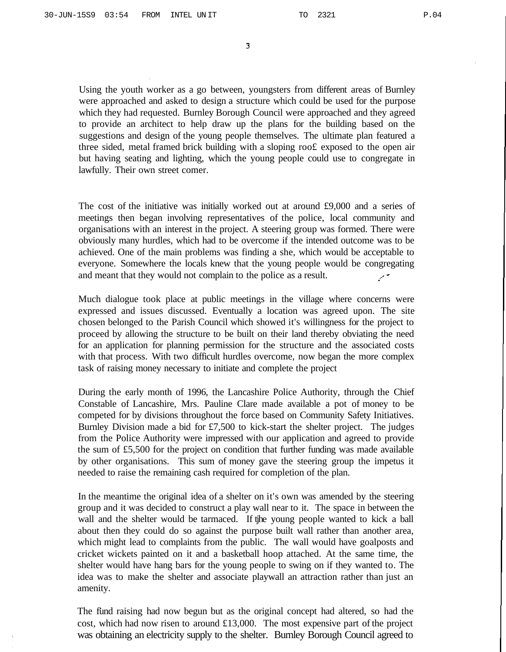3

Using the youth worker as a go between, youngsters from different areas of Burnley were approached and asked to design a structure which could be used for the purpose which they had requested. Burnley Borough Council were approached and they agreed to provide an architect to help draw up the plans for the building based on the suggestions and design of the young people themselves. The ultimate plan featured a three sided, metal framed brick building with a sloping roo£ exposed to the open air but having seating and lighting, which the young people could use to congregate in lawfully. Their own street comer.

The cost of the initiative was initially worked out at around £9,000 and a series of meetings then began involving representatives of the police, local community and organisations with an interest in the project. A steering group was formed. There were obviously many hurdles, which had to be overcome if the intended outcome was to be achieved. One of the main problems was finding a she, which would be acceptable to everyone. Somewhere the locals knew that the young people would be congregating and meant that they would not complain to the police as a result.

Much dialogue took place at public meetings in the village where concerns were expressed and issues discussed. Eventually a location was agreed upon. The site chosen belonged to the Parish Council which showed it's willingness for the project to proceed by allowing the structure to be built on their land thereby obviating the need for an application for planning permission for the structure and the associated costs with that process. With two difficult hurdles overcome, now began the more complex task of raising money necessary to initiate and complete the project

During the early month of 1996, the Lancashire Police Authority, through the Chief Constable of Lancashire, Mrs. Pauline Clare made available a pot of money to be competed for by divisions throughout the force based on Community Safety Initiatives. Burnley Division made a bid for £7,500 to kick-start the shelter project. The judges from the Police Authority were impressed with our application and agreed to provide the sum of £5,500 for the project on condition that further funding was made available by other organisations. This sum of money gave the steering group the impetus it needed to raise the remaining cash required for completion of the plan.

In the meantime the original idea of a shelter on it's own was amended by the steering group and it was decided to construct a play wall near to it. The space in between the wall and the shelter would be tarmaced. If the young people wanted to kick a ball about then they could do so against the purpose built wall rather than another area, which might lead to complaints from the public. The wall would have goalposts and cricket wickets painted on it and a basketball hoop attached. At the same time, the shelter would have hang bars for the young people to swing on if they wanted to. The idea was to make the shelter and associate playwall an attraction rather than just an amenity.

The fund raising had now begun but as the original concept had altered, so had the cost, which had now risen to around  $£13,000$ . The most expensive part of the project was obtaining an electricity supply to the shelter. Burnley Borough Council agreed to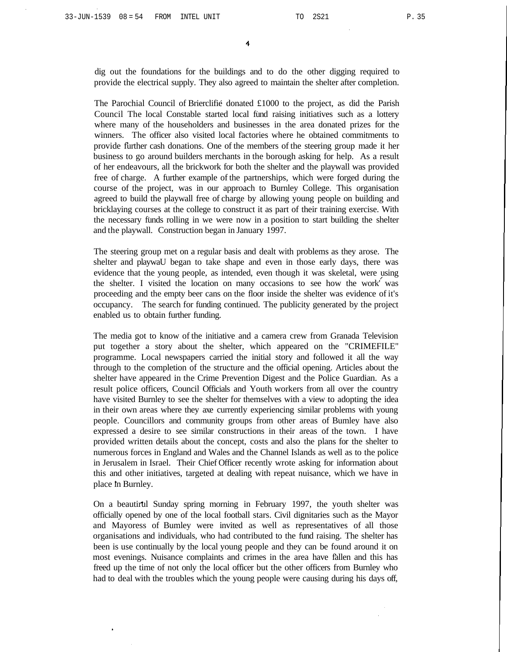dig out the foundations for the buildings and to do the other digging required to provide the electrical supply. They also agreed to maintain the shelter after completion.

The Parochial Council of Brierclifie donated £1000 to the project, as did the Parish Council The local Constable started local fund raising initiatives such as a lottery where many of the householders and businesses in the area donated prizes for the winners. The officer also visited local factories where he obtained commitments to provide further cash donations. One of the members of the steering group made it her business to go around builders merchants in the borough asking for help. As a result of her endeavours, all the brickwork for both the shelter and the playwall was provided free of charge. A further example of the partnerships, which were forged during the course of the project, was in our approach to Burnley College. This organisation agreed to build the playwall free of charge by allowing young people on building and bricklaying courses at the college to construct it as part of their training exercise. With the necessary funds rolling in we were now in a position to start building the shelter and the playwall. Construction began in January 1997.

The steering group met on a regular basis and dealt with problems as they arose. The shelter and playwaU began to take shape and even in those early days, there was evidence that the young people, as intended, even though it was skeletal, were using the shelter. I visited the location on many occasions to see how the work' was proceeding and the empty beer cans on the floor inside the shelter was evidence of it's occupancy. The search for funding continued. The publicity generated by the project enabled us to obtain further funding.

The media got to know of the initiative and a camera crew from Granada Television put together a story about the shelter, which appeared on the "CRIMEFILE" programme. Local newspapers carried the initial story and followed it all the way through to the completion of the structure and the official opening. Articles about the shelter have appeared in the Crime Prevention Digest and the Police Guardian. As a result police officers, Council Officials and Youth workers from all over the country have visited Burnley to see the shelter for themselves with a view to adopting the idea in their own areas where they axe currently experiencing similar problems with young people. Councillors and community groups from other areas of Bumley have also expressed a desire to see similar constructions in their areas of the town. I have provided written details about the concept, costs and also the plans for the shelter to numerous forces in England and Wales and the Channel Islands as well as to the police in Jerusalem in Israel. Their Chief Officer recently wrote asking for information about this and other initiatives, targeted at dealing with repeat nuisance, which we have in place in Burnley.

On a beautirul Sunday spring morning in February 1997, the youth shelter was officially opened by one of the local football stars. Civil dignitaries such as the Mayor and Mayoress of Bumley were invited as well as representatives of all those organisations and individuals, who had contributed to the fund raising. The shelter has been is use continually by the local young people and they can be found around it on most evenings. Nuisance complaints and crimes in the area have fallen and this has freed up the time of not only the local officer but the other officers from Burnley who had to deal with the troubles which the young people were causing during his days off,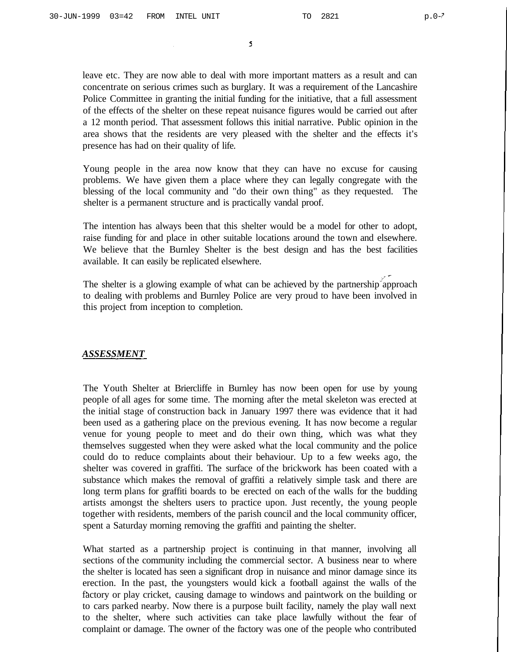5

leave etc. They are now able to deal with more important matters as a result and can concentrate on serious crimes such as burglary. It was a requirement of the Lancashire Police Committee in granting the initial funding for the initiative, that a full assessment of the effects of the shelter on these repeat nuisance figures would be carried out after a 12 month period. That assessment follows this initial narrative. Public opinion in the area shows that the residents are very pleased with the shelter and the effects it's presence has had on their quality of life.

Young people in the area now know that they can have no excuse for causing problems. We have given them a place where they can legally congregate with the blessing of the local community and "do their own thing" as they requested. The shelter is a permanent structure and is practically vandal proof.

The intention has always been that this shelter would be a model for other to adopt, raise funding for and place in other suitable locations around the town and elsewhere. We believe that the Burnley Shelter is the best design and has the best facilities available. It can easily be replicated elsewhere.

The shelter is a glowing example of what can be achieved by the partnership approach to dealing with problems and Burnley Police are very proud to have been involved in this project from inception to completion.

### *ASSESSMENT*

The Youth Shelter at Briercliffe in Burnley has now been open for use by young people of all ages for some time. The morning after the metal skeleton was erected at the initial stage of construction back in January 1997 there was evidence that it had been used as a gathering place on the previous evening. It has now become a regular venue for young people to meet and do their own thing, which was what they themselves suggested when they were asked what the local community and the police could do to reduce complaints about their behaviour. Up to a few weeks ago, the shelter was covered in graffiti. The surface of the brickwork has been coated with a substance which makes the removal of graffiti a relatively simple task and there are long term plans for graffiti boards to be erected on each of the walls for the budding artists amongst the shelters users to practice upon. Just recently, the young people together with residents, members of the parish council and the local community officer, spent a Saturday morning removing the graffiti and painting the shelter.

What started as a partnership project is continuing in that manner, involving all sections of the community including the commercial sector. A business near to where the shelter is located has seen a significant drop in nuisance and minor damage since its erection. In the past, the youngsters would kick a football against the walls of the factory or play cricket, causing damage to windows and paintwork on the building or to cars parked nearby. Now there is a purpose built facility, namely the play wall next to the shelter, where such activities can take place lawfully without the fear of complaint or damage. The owner of the factory was one of the people who contributed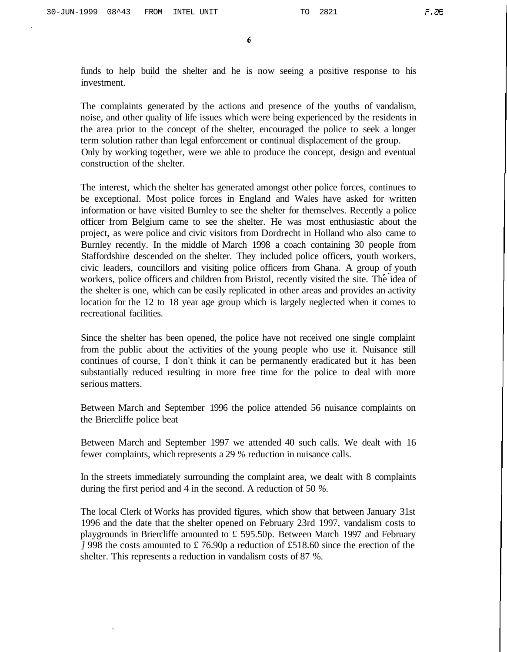6

funds to help build the shelter and he is now seeing a positive response to his investment.

The complaints generated by the actions and presence of the youths of vandalism, noise, and other quality of life issues which were being experienced by the residents in the area prior to the concept of the shelter, encouraged the police to seek a longer term solution rather than legal enforcement or continual displacement of the group. Only by working together, were we able to produce the concept, design and eventual construction of the shelter.

The interest, which the shelter has generated amongst other police forces, continues to be exceptional. Most police forces in England and Wales have asked for written information or have visited Burnley to see the shelter for themselves. Recently a police officer from Belgium came to see the shelter. He was most enthusiastic about the project, as were police and civic visitors from Dordrecht in Holland who also came to Burnley recently. In the middle of March 1998 a coach containing 30 people from Staffordshire descended on the shelter. They included police officers, youth workers, civic leaders, councillors and visiting police officers from Ghana. A group of youth workers, police officers and children from Bristol, recently visited the site. The idea of the shelter is one, which can be easily replicated in other areas and provides an activity location for the 12 to 18 year age group which is largely neglected when it comes to recreational facilities.

Since the shelter has been opened, the police have not received one single complaint from the public about the activities of the young people who use it. Nuisance still continues of course, I don't think it can be permanently eradicated but it has been substantially reduced resulting in more free time for the police to deal with more serious matters.

Between March and September 1996 the police attended 56 nuisance complaints on the Briercliffe police beat

Between March and September 1997 we attended 40 such calls. We dealt with 16 fewer complaints, which represents a 29 *%* reduction in nuisance calls.

In the streets immediately surrounding the complaint area, we dealt with 8 complaints during the first period and 4 in the second. A reduction of 50 *%.*

The local Clerk of Works has provided figures, which show that between January 31st 1996 and the date that the shelter opened on February 23rd 1997, vandalism costs to playgrounds in Briercliffe amounted to £ 595.50p. Between March 1997 and February *]* 998 the costs amounted to £ 76.90p a reduction of £518.60 since the erection of the shelter. This represents a reduction in vandalism costs of 87 %.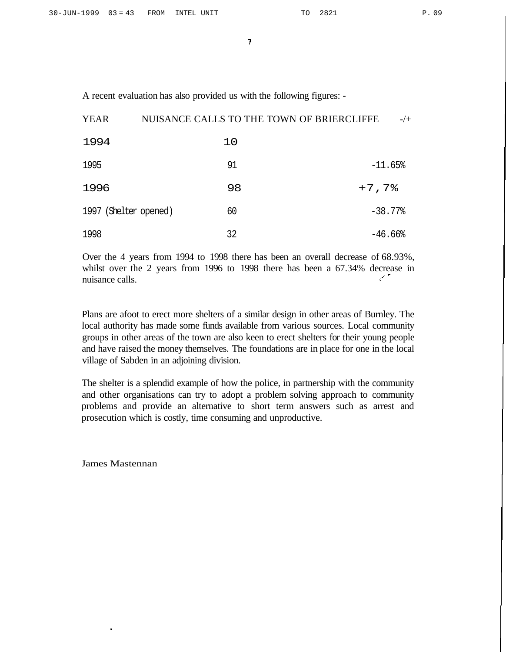$\overline{7}$ 

A recent evaluation has also provided us with the following figures: -

| <b>YEAR</b>           | NUISANCE CALLS TO THE TOWN OF BRIERCLIFFE | $-/+$                 |
|-----------------------|-------------------------------------------|-----------------------|
| 1994                  | 10                                        |                       |
| 1995                  | 91                                        | $-11.65%$             |
| 1996                  | 98                                        | $+7,7%$               |
| 1997 (Shelter opened) | 60                                        | $-38.77%$             |
| 1998                  | 32                                        | $-46.66$ <sup>8</sup> |

Over the 4 years from 1994 to 1998 there has been an overall decrease of 68.93%, whilst over the 2 years from 1996 to 1998 there has been a 67.34% decrease in ستمسح nuisance calls.

Plans are afoot to erect more shelters of a similar design in other areas of Burnley. The local authority has made some funds available from various sources. Local community groups in other areas of the town are also keen to erect shelters for their young people and have raised the money themselves. The foundations are in place for one in the local village of Sabden in an adjoining division.

The shelter is a splendid example of how the police, in partnership with the community and other organisations can try to adopt a problem solving approach to community problems and provide an alternative to short term answers such as arrest and prosecution which is costly, time consuming and unproductive.

James Mastennan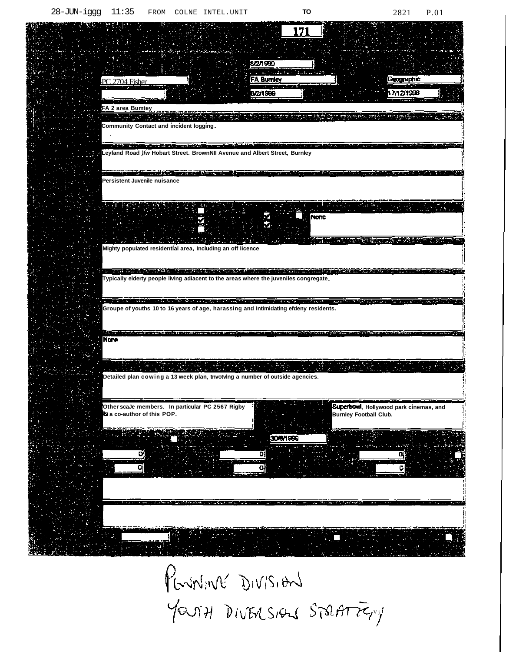**ALCO** 

| 171                                                                                                                                                                                                                                                                                                                                                                     |
|-------------------------------------------------------------------------------------------------------------------------------------------------------------------------------------------------------------------------------------------------------------------------------------------------------------------------------------------------------------------------|
| 8/2/1999<br>of family collabed as waith<br>FA Burnley<br>Geographic<br>PC 2704 Fisher<br>17/12/1998<br>8/2/1999                                                                                                                                                                                                                                                         |
| <b>Colombia Scientist</b><br>FA 2 area Bumtey<br>机地质试验量化物质 经经济科学经济<br>Community Contact and incident logging.                                                                                                                                                                                                                                                           |
| an antique le proposition de la proposition de la proposition de la proposition<br>malaka ang tanggal sa kalawat at ang magay katalog sa pagpang<br><b>RISPAN</b><br>Leyfand Road )fw Hobart Street. BrownNII Avenue and Albert Street, Burnley                                                                                                                         |
| <u> Berger av den stad i den en der den stad i de en de</u><br>Persistent Juvenile nuisance<br>and an international company                                                                                                                                                                                                                                             |
| None<br>ਿਸ ਨੇ ਨਿਕਾਰੀ ਦੇ ਪਹਿਲਾਂ ਦੀ ਸਾਂਝੀ ਦੇ ਪਹਿਲਾਂ ਤੋਂ ਸੁਰੱਖੀ ਹਨ।<br>Mighty populated residential area, Including an off licence                                                                                                                                                                                                                                         |
| the collection of the collection of the collection of the collection of the collection of the collection of the<br><b>CONTRACTOR CONTRACTOR</b><br>Typically elderty people living adiacent to the areas where the juveniles congregate.<br>in the property of the COMMON Service of the contraction of the contract of the contract of the contract of the contract of |
| Groupe of youths 10 to 16 years of age, harassing and Intimidating efdeny residents.<br>in the distribution of the property of the soldiers of the property of the fact<br>n sa an Aire a<br><b>CONTRACTOR</b><br>カンスカー・カンター コーニー<br><b>TENTURE TRANSPORT</b><br><b>None</b>                                                                                            |
| Detailed plan cowing a 13 week plan, tnvotvlng a number of outside agencies.                                                                                                                                                                                                                                                                                            |
| Superbowl, Hollywood park cinemas, and<br>Other scaJe members. In particular PC 2567 Rigby<br>B a co-author of this POP.<br><b>Burnley Football Club.</b>                                                                                                                                                                                                               |
| 306/1999                                                                                                                                                                                                                                                                                                                                                                |
|                                                                                                                                                                                                                                                                                                                                                                         |
|                                                                                                                                                                                                                                                                                                                                                                         |

PENNINE DIVISION YOUTH DIVISIONS STRATTERY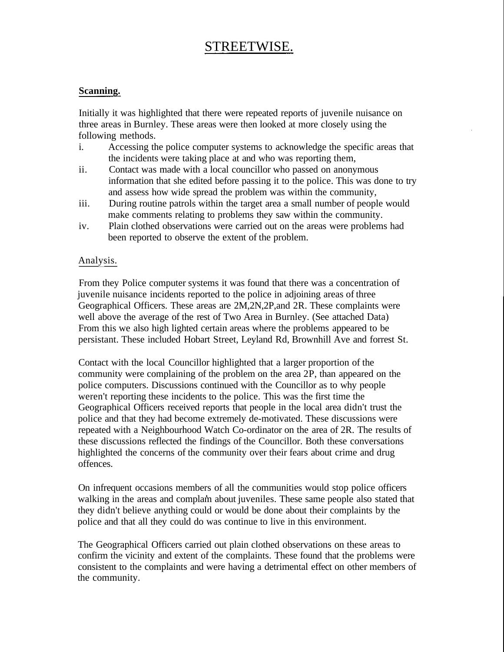# STREETWISE.

# **Scanning.**

Initially it was highlighted that there were repeated reports of juvenile nuisance on three areas in Burnley. These areas were then looked at more closely using the following methods.

- i. Accessing the police computer systems to acknowledge the specific areas that the incidents were taking place at and who was reporting them,
- ii. Contact was made with a local councillor who passed on anonymous information that she edited before passing it to the police. This was done to try and assess how wide spread the problem was within the community,
- iii. During routine patrols within the target area a small number of people would make comments relating to problems they saw within the community.
- iv. Plain clothed observations were carried out on the areas were problems had been reported to observe the extent of the problem.

# Analysis.

From they Police computer systems it was found that there was a concentration of juvenile nuisance incidents reported to the police in adjoining areas of three Geographical Officers. These areas are 2M,2N,2P,and 2R. These complaints were well above the average of the rest of Two Area in Burnley. (See attached Data) From this we also high lighted certain areas where the problems appeared to be persistant. These included Hobart Street, Leyland Rd, Brownhill Ave and forrest St.

Contact with the local Councillor highlighted that a larger proportion of the community were complaining of the problem on the area 2P, than appeared on the police computers. Discussions continued with the Councillor as to why people weren't reporting these incidents to the police. This was the first time the Geographical Officers received reports that people in the local area didn't trust the police and that they had become extremely de-motivated. These discussions were repeated with a Neighbourhood Watch Co-ordinator on the area of 2R. The results of these discussions reflected the findings of the Councillor. Both these conversations highlighted the concerns of the community over their fears about crime and drug offences.

On infrequent occasions members of all the communities would stop police officers walking in the areas and complam about juveniles. These same people also stated that they didn't believe anything could or would be done about their complaints by the police and that all they could do was continue to live in this environment.

The Geographical Officers carried out plain clothed observations on these areas to confirm the vicinity and extent of the complaints. These found that the problems were consistent to the complaints and were having a detrimental effect on other members of the community.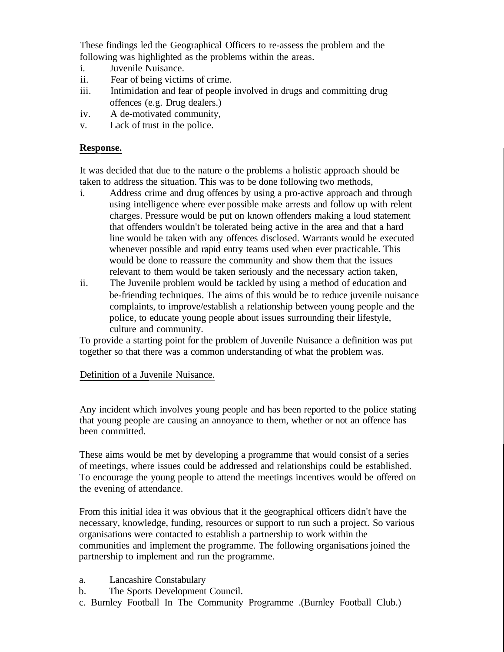These findings led the Geographical Officers to re-assess the problem and the following was highlighted as the problems within the areas.

- i. Juvenile Nuisance.
- ii. Fear of being victims of crime.
- iii. Intimidation and fear of people involved in drugs and committing drug offences (e.g. Drug dealers.)
- iv. A de-motivated community,
- v. Lack of trust in the police.

# **Response.**

It was decided that due to the nature o the problems a holistic approach should be taken to address the situation. This was to be done following two methods,

- i. Address crime and drug offences by using a pro-active approach and through using intelligence where ever possible make arrests and follow up with relent charges. Pressure would be put on known offenders making a loud statement that offenders wouldn't be tolerated being active in the area and that a hard line would be taken with any offences disclosed. Warrants would be executed whenever possible and rapid entry teams used when ever practicable. This would be done to reassure the community and show them that the issues relevant to them would be taken seriously and the necessary action taken,
- ii. The Juvenile problem would be tackled by using a method of education and be-friending techniques. The aims of this would be to reduce juvenile nuisance complaints, to improve/establish a relationship between young people and the police, to educate young people about issues surrounding their lifestyle, culture and community.

To provide a starting point for the problem of Juvenile Nuisance a definition was put together so that there was a common understanding of what the problem was.

# Definition of a Juvenile Nuisance.

Any incident which involves young people and has been reported to the police stating that young people are causing an annoyance to them, whether or not an offence has been committed.

These aims would be met by developing a programme that would consist of a series of meetings, where issues could be addressed and relationships could be established. To encourage the young people to attend the meetings incentives would be offered on the evening of attendance.

From this initial idea it was obvious that it the geographical officers didn't have the necessary, knowledge, funding, resources or support to run such a project. So various organisations were contacted to establish a partnership to work within the communities and implement the programme. The following organisations joined the partnership to implement and run the programme.

- a. Lancashire Constabulary
- b. The Sports Development Council.
- c. Burnley Football In The Community Programme .(Burnley Football Club.)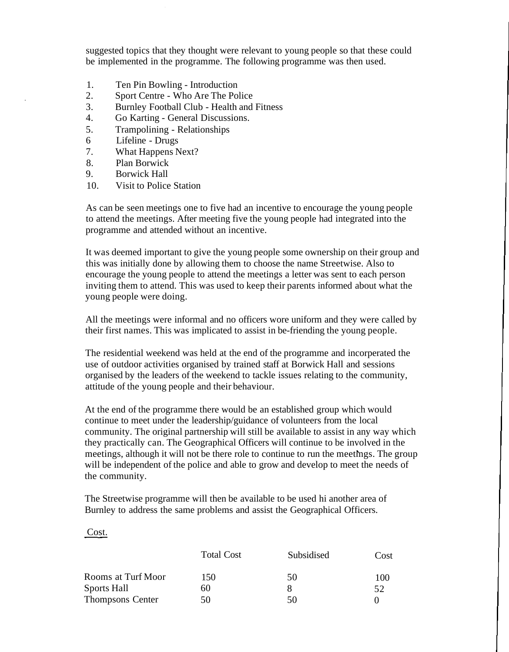suggested topics that they thought were relevant to young people so that these could be implemented in the programme. The following programme was then used.

- 1. Ten Pin Bowling Introduction
- 2. Sport Centre Who Are The Police
- 3. Burnley Football Club Health and Fitness
- 4. Go Karting General Discussions.
- 5. Trampolining Relationships
- 6 Lifeline Drugs
- 7. What Happens Next?
- 8. Plan Borwick
- 9. Borwick Hall
- 10. Visit to Police Station

As can be seen meetings one to five had an incentive to encourage the young people to attend the meetings. After meeting five the young people had integrated into the programme and attended without an incentive.

It was deemed important to give the young people some ownership on their group and this was initially done by allowing them to choose the name Streetwise. Also to encourage the young people to attend the meetings a letter was sent to each person inviting them to attend. This was used to keep their parents informed about what the young people were doing.

All the meetings were informal and no officers wore uniform and they were called by their first names. This was implicated to assist in be-friending the young people.

The residential weekend was held at the end of the programme and incorperated the use of outdoor activities organised by trained staff at Borwick Hall and sessions organised by the leaders of the weekend to tackle issues relating to the community, attitude of the young people and their behaviour.

At the end of the programme there would be an established group which would continue to meet under the leadership/guidance of volunteers from the local community. The original partnership will still be available to assist in any way which they practically can. The Geographical Officers will continue to be involved in the meetings, although it will not be there role to continue to run the meetmgs. The group will be independent of the police and able to grow and develop to meet the needs of the community.

The Streetwise programme will then be available to be used hi another area of Burnley to address the same problems and assist the Geographical Officers.

# Cost.

|                         | <b>Total Cost</b> | Subsidised | Cost |
|-------------------------|-------------------|------------|------|
| Rooms at Turf Moor      | 150               | 50         | 100  |
| Sports Hall             | 60                |            | 52   |
| <b>Thompsons Center</b> | 50                | 50         |      |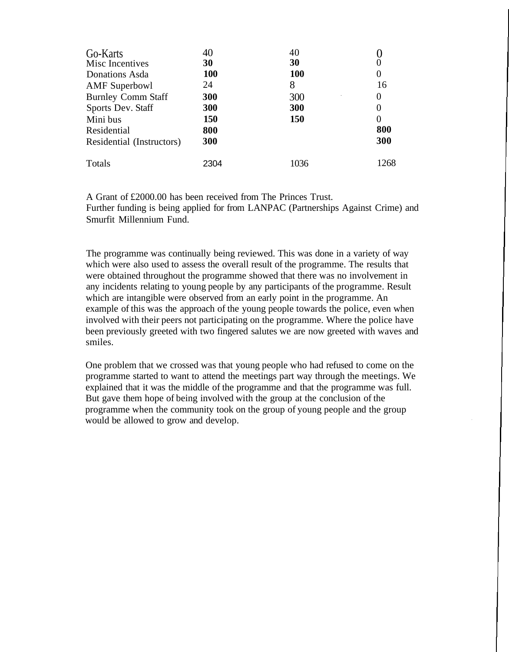| Go-Karts<br>Misc Incentives<br>Donations Asda | 30<br><b>100</b> | 40<br>30<br><b>100</b> | $\theta$       |
|-----------------------------------------------|------------------|------------------------|----------------|
| <b>AMF</b> Superbowl                          | 24               | 8                      | 16             |
| <b>Burnley Comm Staff</b>                     | 300              | 300                    | $\theta$       |
| Sports Dev. Staff                             | 300              | 300                    | $\overline{0}$ |
| Mini bus                                      | 150              | 150                    | $\Omega$       |
| Residential                                   | 800              |                        | 800            |
| Residential (Instructors)                     | 300              |                        | 300            |
| Totals                                        | 2304             | 1036                   | 1268           |

A Grant of £2000.00 has been received from The Princes Trust. Further funding is being applied for from LANPAC (Partnerships Against Crime) and Smurfit Millennium Fund.

The programme was continually being reviewed. This was done in a variety of way which were also used to assess the overall result of the programme. The results that were obtained throughout the programme showed that there was no involvement in any incidents relating to young people by any participants of the programme. Result which are intangible were observed from an early point in the programme. An example of this was the approach of the young people towards the police, even when involved with their peers not participating on the programme. Where the police have been previously greeted with two fingered salutes we are now greeted with waves and smiles.

One problem that we crossed was that young people who had refused to come on the programme started to want to attend the meetings part way through the meetings. We explained that it was the middle of the programme and that the programme was full. But gave them hope of being involved with the group at the conclusion of the programme when the community took on the group of young people and the group would be allowed to grow and develop.